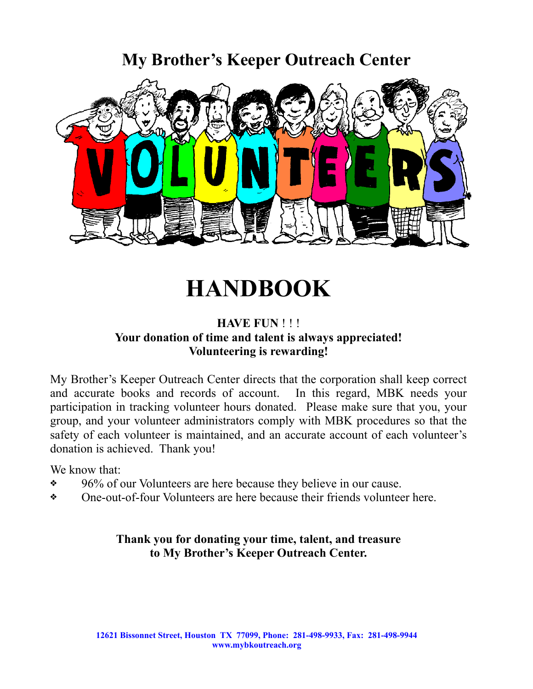## **My Brother's Keeper Outreach Center**



# **HANDBOOK**

#### **HAVE FUN** ! ! ! **Your donation of time and talent is always appreciated! Volunteering is rewarding!**

My Brother's Keeper Outreach Center directs that the corporation shall keep correct and accurate books and records of account. In this regard, MBK needs your participation in tracking volunteer hours donated. Please make sure that you, your group, and your volunteer administrators comply with MBK procedures so that the safety of each volunteer is maintained, and an accurate account of each volunteer's donation is achieved. Thank you!

We know that:

- ❖ 96% of our Volunteers are here because they believe in our cause.
- ❖ One-out-of-four Volunteers are here because their friends volunteer here.

#### **Thank you for donating your time, talent, and treasure to My Brother's Keeper Outreach Center.**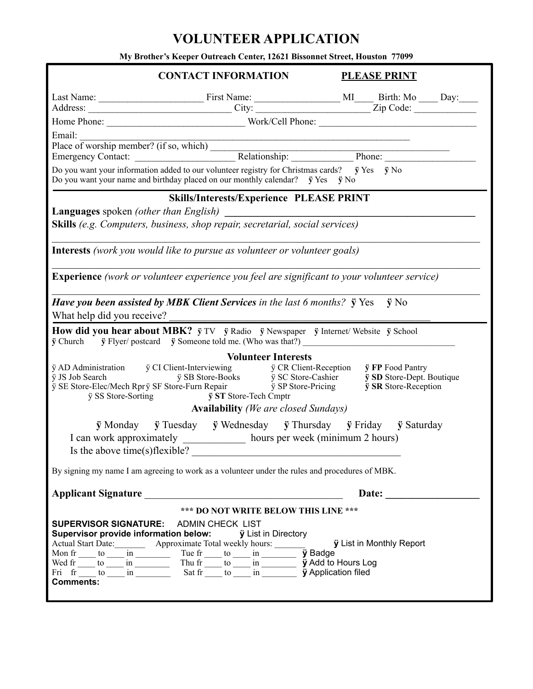## **VOLUNTEER APPLICATION**

**My Brother's Keeper Outreach Center, 12621 Bissonnet Street, Houston 77099**

| <b>CONTACT INFORMATION</b>                                                                                                                                                                                                                                                                                                                                                                                                                                                                                                                                                                                 |                                                 | <b>PLEASE PRINT</b> |  |  |
|------------------------------------------------------------------------------------------------------------------------------------------------------------------------------------------------------------------------------------------------------------------------------------------------------------------------------------------------------------------------------------------------------------------------------------------------------------------------------------------------------------------------------------------------------------------------------------------------------------|-------------------------------------------------|---------------------|--|--|
|                                                                                                                                                                                                                                                                                                                                                                                                                                                                                                                                                                                                            |                                                 |                     |  |  |
|                                                                                                                                                                                                                                                                                                                                                                                                                                                                                                                                                                                                            |                                                 |                     |  |  |
|                                                                                                                                                                                                                                                                                                                                                                                                                                                                                                                                                                                                            |                                                 |                     |  |  |
| Email:                                                                                                                                                                                                                                                                                                                                                                                                                                                                                                                                                                                                     |                                                 |                     |  |  |
|                                                                                                                                                                                                                                                                                                                                                                                                                                                                                                                                                                                                            |                                                 |                     |  |  |
| Do you want your information added to our volunteer registry for Christmas cards? $\ddot{y}$ Yes $\ddot{y}$ No<br>Do you want your name and birthday placed on our monthly calendar? $\ddot{y}$ Yes $\ddot{y}$ No                                                                                                                                                                                                                                                                                                                                                                                          |                                                 |                     |  |  |
|                                                                                                                                                                                                                                                                                                                                                                                                                                                                                                                                                                                                            | <b>Skills/Interests/Experience PLEASE PRINT</b> |                     |  |  |
| <b>Languages</b> spoken <i>(other than English)</i> examples the space of the space of the space of the space of the space of the space of the space of the space of the space of the space of the space of the space of the space of th                                                                                                                                                                                                                                                                                                                                                                   |                                                 |                     |  |  |
| Skills (e.g. Computers, business, shop repair, secretarial, social services)                                                                                                                                                                                                                                                                                                                                                                                                                                                                                                                               |                                                 |                     |  |  |
|                                                                                                                                                                                                                                                                                                                                                                                                                                                                                                                                                                                                            |                                                 |                     |  |  |
| <b>Interests</b> (work you would like to pursue as volunteer or volunteer goals)                                                                                                                                                                                                                                                                                                                                                                                                                                                                                                                           |                                                 |                     |  |  |
| <b>Experience</b> (work or volunteer experience you feel are significant to your volunteer service)                                                                                                                                                                                                                                                                                                                                                                                                                                                                                                        |                                                 |                     |  |  |
| Have you been assisted by MBK Client Services in the last 6 months? $\ddot{y}$ Yes $\ddot{y}$ No<br>What help did you receive?                                                                                                                                                                                                                                                                                                                                                                                                                                                                             |                                                 |                     |  |  |
|                                                                                                                                                                                                                                                                                                                                                                                                                                                                                                                                                                                                            |                                                 |                     |  |  |
| How did you hear about MBK? $\ddot{y}$ TV $\ddot{y}$ Radio $\ddot{y}$ Newspaper $\ddot{y}$ Internet/Website $\ddot{y}$ School<br>$\ddot{y}$ Church $\ddot{y}$ Flyer/postcard $\ddot{y}$ Someone told me. (Who was that?)                                                                                                                                                                                                                                                                                                                                                                                   |                                                 |                     |  |  |
|                                                                                                                                                                                                                                                                                                                                                                                                                                                                                                                                                                                                            | <b>Volunteer Interests</b>                      |                     |  |  |
| $\begin{tabular}{llllll} $\ddot{\rm{y}}$ AD Administration & $\ddot{\rm{y}}$ CI Client-Interviewing \\ $\ddot{\rm{y}}$ JS Job Search & $\ddot{\rm{y}}$ SB Store-Books \\ $\ddot{\rm{y}}$ SE Store-Electron} & $\ddot{\rm{y}}$ SC Store-Cashier & $\ddot{\rm{y}}$ SD Store-Depth. Boutique \\ $\ddot{\rm{y}}$ SE Store-Electron \\ $\ddot{\rm{y}}$ SE Store-Pervin Repeat & $\ddot{\rm{y}}$ SP Store-Pricing & $\ddot{\rm{y}}$ SR Store-Reception \end{tabular}$<br>y SS Store-Sorting y ST Store-Tech Cmptr                                                                                                |                                                 |                     |  |  |
| <b>Availability</b> (We are closed Sundays)                                                                                                                                                                                                                                                                                                                                                                                                                                                                                                                                                                |                                                 |                     |  |  |
| $\ddot{y}$ Monday $\ddot{y}$ Tuesday $\ddot{y}$ Wednesday $\ddot{y}$ Thursday $\ddot{y}$ Friday $\ddot{y}$ Saturday<br>I can work approximately ______________ hours per week (minimum 2 hours)<br>Is the above time(s) flexible?                                                                                                                                                                                                                                                                                                                                                                          |                                                 |                     |  |  |
| By signing my name I am agreeing to work as a volunteer under the rules and procedures of MBK.                                                                                                                                                                                                                                                                                                                                                                                                                                                                                                             |                                                 |                     |  |  |
| Applicant Signature                                                                                                                                                                                                                                                                                                                                                                                                                                                                                                                                                                                        |                                                 |                     |  |  |
| *** DO NOT WRITE BELOW THIS LINE ***<br><b>SUPERVISOR SIGNATURE: ADMIN CHECK LIST</b><br><b>Supervisor provide information below:</b> <i>y</i> List in Directory<br>Actual Start Date: __________ Approximate Total weekly hours: _______<br><b>ÿ</b> List in Monthly Report<br>Mon fr $\_\text{t0}$ to $\_\text{m}$ in $\_\text{m}$ Tue fr $\_\text{t0}$ in $\_\text{m}$ in $\_\text{m}$ is $\_\text{m}$ in $\_\text{m}$ is $\_\text{m}$ is $\_\text{m}$ is $\_\text{m}$ is $\_\text{m}$ is $\_\text{m}$ is $\_\text{m}$ is $\_\text{m}$ is $\_\text{m}$ is $\_\text{m}$ is $\_\text$<br><b>Comments:</b> |                                                 |                     |  |  |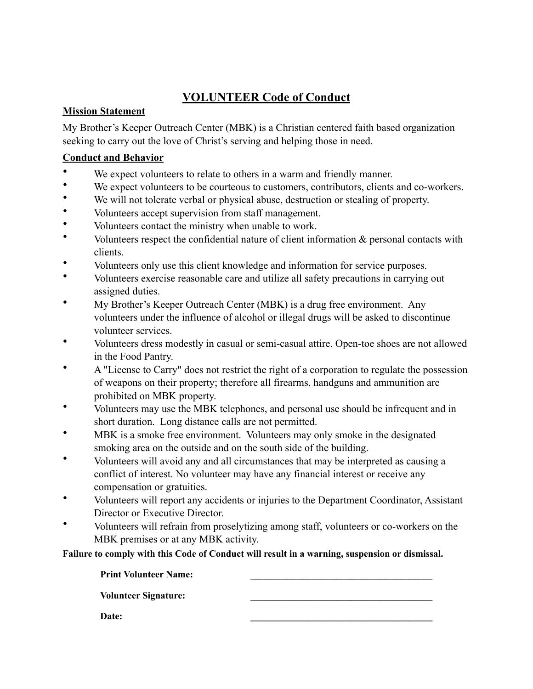## **VOLUNTEER Code of Conduct**

#### **Mission Statement**

My Brother's Keeper Outreach Center (MBK) is a Christian centered faith based organization seeking to carry out the love of Christ's serving and helping those in need.

#### **Conduct and Behavior**

- We expect volunteers to relate to others in a warm and friendly manner.
- We expect volunteers to be courteous to customers, contributors, clients and co-workers.
- We will not tolerate verbal or physical abuse, destruction or stealing of property.
- Volunteers accept supervision from staff management.
- Volunteers contact the ministry when unable to work.
- Volunteers respect the confidential nature of client information & personal contacts with clients.
- Volunteers only use this client knowledge and information for service purposes.
- Volunteers exercise reasonable care and utilize all safety precautions in carrying out assigned duties.
- My Brother's Keeper Outreach Center (MBK) is a drug free environment. Any volunteers under the influence of alcohol or illegal drugs will be asked to discontinue volunteer services.
- Volunteers dress modestly in casual or semi-casual attire. Open-toe shoes are not allowed in the Food Pantry.
- A "License to Carry" does not restrict the right of a corporation to regulate the possession of weapons on their property; therefore all firearms, handguns and ammunition are prohibited on MBK property.
- Volunteers may use the MBK telephones, and personal use should be infrequent and in short duration. Long distance calls are not permitted.
- MBK is a smoke free environment. Volunteers may only smoke in the designated smoking area on the outside and on the south side of the building.
- Volunteers will avoid any and all circumstances that may be interpreted as causing a conflict of interest. No volunteer may have any financial interest or receive any compensation or gratuities.
- Volunteers will report any accidents or injuries to the Department Coordinator, Assistant Director or Executive Director.
- Volunteers will refrain from proselytizing among staff, volunteers or co-workers on the MBK premises or at any MBK activity.

**Failure to comply with this Code of Conduct will result in a warning, suspension or dismissal.**

**Print Volunteer Name: \_\_\_\_\_\_\_\_\_\_\_\_\_\_\_\_\_\_\_\_\_\_\_\_\_\_\_\_\_\_\_\_\_\_\_\_\_\_ Volunteer Signature: \_\_\_\_\_\_\_\_\_\_\_\_\_\_\_\_\_\_\_\_\_\_\_\_\_\_\_\_\_\_\_\_\_\_\_\_\_\_ Date: \_\_\_\_\_\_\_\_\_\_\_\_\_\_\_\_\_\_\_\_\_\_\_\_\_\_\_\_\_\_\_\_\_\_\_\_\_\_**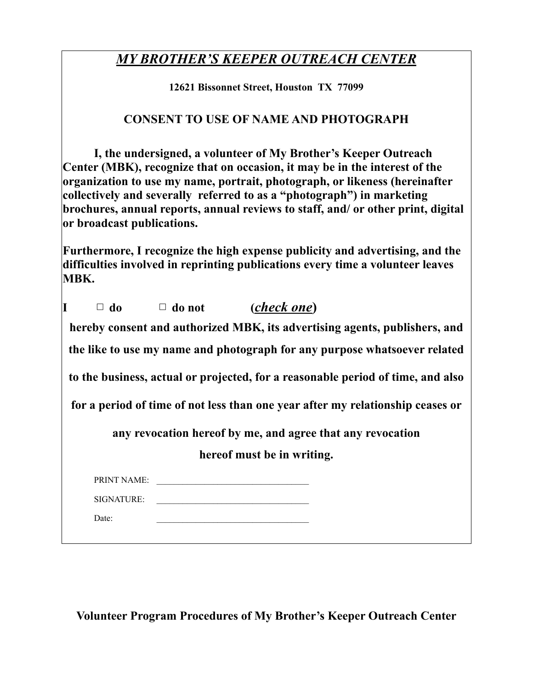## *MY BROTHER'S KEEPER OUTREACH CENTER*

**12621 Bissonnet Street, Houston TX 77099**

### **CONSENT TO USE OF NAME AND PHOTOGRAPH**

**I, the undersigned, a volunteer of My Brother's Keeper Outreach Center (MBK), recognize that on occasion, it may be in the interest of the organization to use my name, portrait, photograph, or likeness (hereinafter collectively and severally referred to as a "photograph") in marketing brochures, annual reports, annual reviews to staff, and/ or other print, digital or broadcast publications.**

**Furthermore, I recognize the high expense publicity and advertising, and the difficulties involved in reprinting publications every time a volunteer leaves MBK.**

|             | $\Box$ do $\Box$ do not | ( <i>check one</i> )                                                            |
|-------------|-------------------------|---------------------------------------------------------------------------------|
|             |                         | hereby consent and authorized MBK, its advertising agents, publishers, and      |
|             |                         | the like to use my name and photograph for any purpose whatsoever related       |
|             |                         | to the business, actual or projected, for a reasonable period of time, and also |
|             |                         | for a period of time of not less than one year after my relationship ceases or  |
|             |                         | any revocation hereof by me, and agree that any revocation                      |
|             |                         | hereof must be in writing.                                                      |
| PRINT NAME: |                         | <u> 1989 - Andrea Stadt Britain, amerikansk politik (</u>                       |
|             |                         | SIGNATURE:                                                                      |
| Date:       |                         |                                                                                 |
|             |                         |                                                                                 |

**Volunteer Program Procedures of My Brother's Keeper Outreach Center**